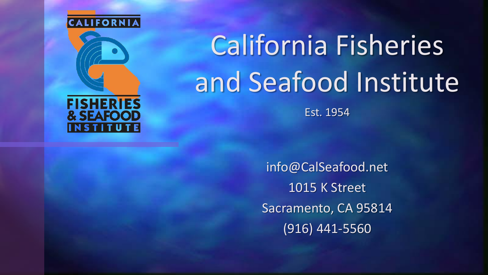

# California Fisheries and Seafood Institute

Est. 1954

info@CalSeafood.net 1015 K Street Sacramento, CA 95814 (916) 441-5560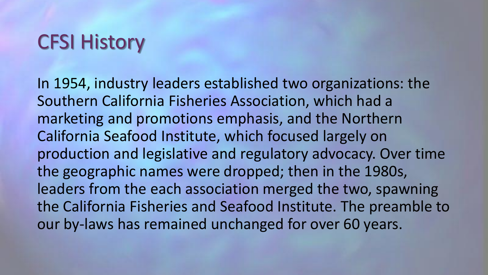### CFSI History

In 1954, industry leaders established two organizations: the Southern California Fisheries Association, which had a marketing and promotions emphasis, and the Northern California Seafood Institute, which focused largely on production and legislative and regulatory advocacy. Over time the geographic names were dropped; then in the 1980s, leaders from the each association merged the two, spawning the California Fisheries and Seafood Institute. The preamble to our by-laws has remained unchanged for over 60 years.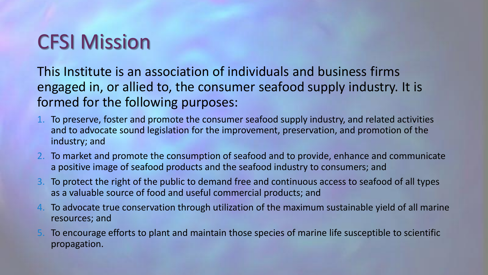# CFSI Mission

This Institute is an association of individuals and business firms engaged in, or allied to, the consumer seafood supply industry. It is formed for the following purposes:

- 1. To preserve, foster and promote the consumer seafood supply industry, and related activities and to advocate sound legislation for the improvement, preservation, and promotion of the industry; and
- 2. To market and promote the consumption of seafood and to provide, enhance and communicate a positive image of seafood products and the seafood industry to consumers; and
- 3. To protect the right of the public to demand free and continuous access to seafood of all types as a valuable source of food and useful commercial products; and
- 4. To advocate true conservation through utilization of the maximum sustainable yield of all marine resources; and
- 5. To encourage efforts to plant and maintain those species of marine life susceptible to scientific propagation.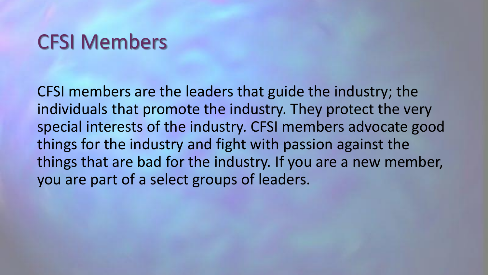### CFSI Members

CFSI members are the leaders that guide the industry; the individuals that promote the industry. They protect the very special interests of the industry. CFSI members advocate good things for the industry and fight with passion against the things that are bad for the industry. If you are a new member, you are part of a select groups of leaders.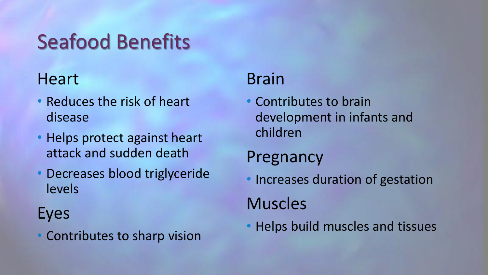# Seafood Benefits

#### **Heart**

- Reduces the risk of heart disease
- Helps protect against heart attack and sudden death
- Decreases blood triglyceride levels

#### Eyes

• Contributes to sharp vision

### Brain

• Contributes to brain development in infants and children

#### Pregnancy

- Increases duration of gestation Muscles
- Helps build muscles and tissues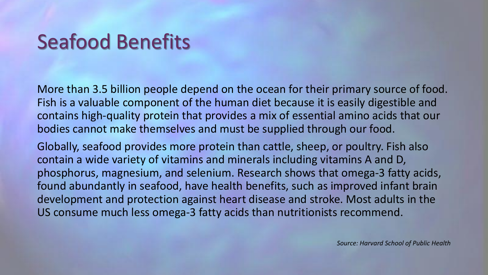# Seafood Benefits

More than 3.5 billion people depend on the ocean for their primary source of food. Fish is a valuable component of the human diet because it is easily digestible and contains high-quality protein that provides a mix of essential amino acids that our bodies cannot make themselves and must be supplied through our food.

Globally, seafood provides more protein than cattle, sheep, or poultry. Fish also contain a wide variety of vitamins and minerals including vitamins A and D, phosphorus, magnesium, and selenium. Research shows that omega-3 fatty acids, found abundantly in seafood, have health benefits, such as improved infant brain development and protection against heart disease and stroke. Most adults in the US consume much less omega-3 fatty acids than nutritionists recommend.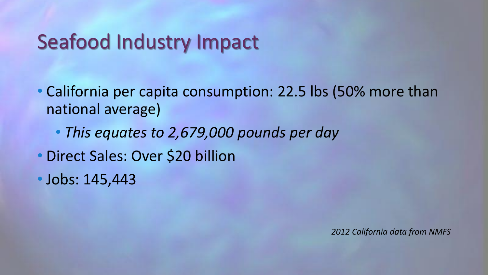### Seafood Industry Impact

• California per capita consumption: 22.5 lbs (50% more than national average)

• *This equates to 2,679,000 pounds per day*

• Direct Sales: Over \$20 billion

• Jobs: 145,443

*2012 California data from NMFS*